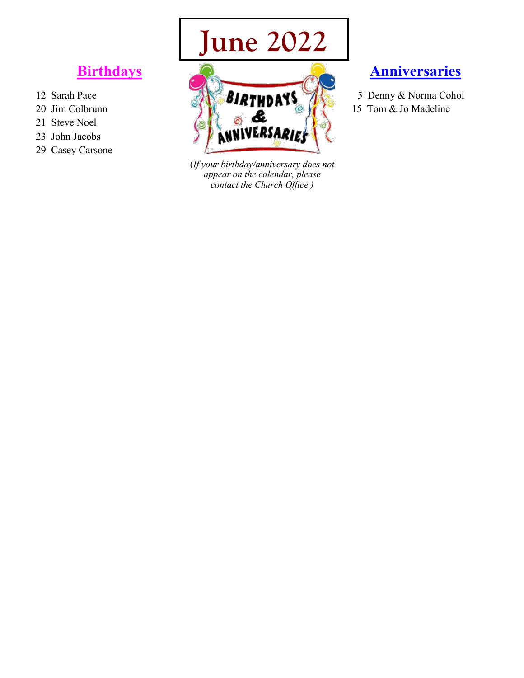## **June 2022**

## **Birthdays**

- 12 Sarah Pace
- 20 Jim Colbrunn
- 21 Steve Noel
- 23 John Jacobs
- 29 Casey Carsone



(*If your birthday/anniversary does not appear on the calendar, please contact the Church Office.)*

## **Anniversaries**

5 Denny & Norma Cohol 15 Tom & Jo Madeline